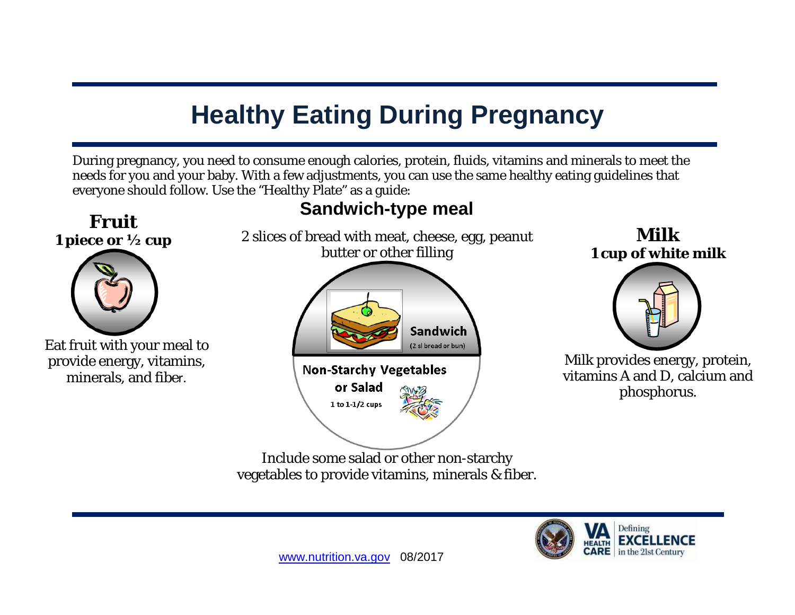## **Healthy Eating During Pregnancy**

During pregnancy, you need to consume enough calories, protein, fluids, vitamins and minerals to meet the needs for you and your baby. With a few adjustments, you can use the same healthy eating guidelines that everyone should follow. Use the "Healthy Plate" as a guide:



Include some salad or other non-starchy vegetables to provide vitamins, minerals & fiber.

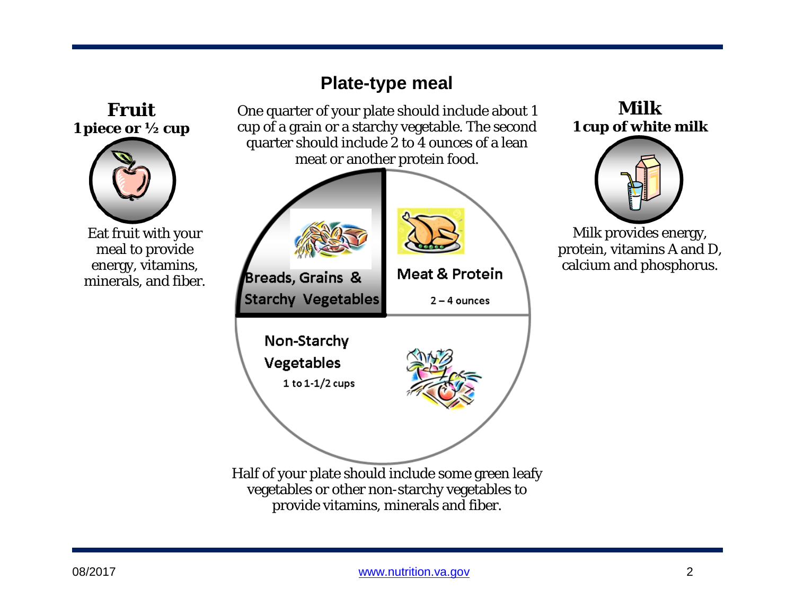## **Plate-type meal Fruit**  One quarter of your plate should include about 1 cup of a grain or a starchy vegetable. The second **1 piece or ½ cup** quarter should include 2 to 4 ounces of a lean meat or another protein food. Eat fruit with your meal to provide energy, vitamins, **Meat & Protein** Breads, Grains & minerals, and fiber. **Starchy Vegetables**  $2 - 4$  ounces Non-Starchy Vegetables 1 to  $1-1/2$  cups Half of your plate should include some green leafy vegetables or other non-starchy vegetables to provide vitamins, minerals and fiber.

**Milk 1 cup of white milk**



Milk provides energy, protein, vitamins A and D, calcium and phosphorus.